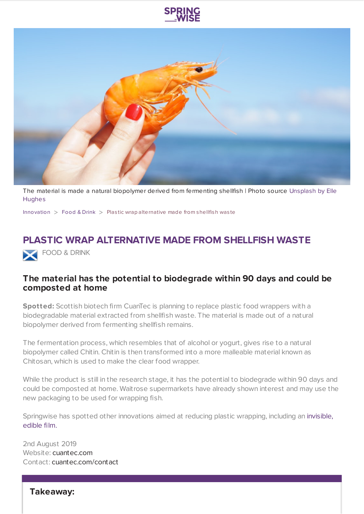



The material is made a natural [biopolymer](https://unsplash.com/photos/Xlll61ZYOpk) derived from fermenting shellfish | Photo source Unsplash by Elle **Hughes** 

[Innovation](https://www.springwise.com/search?type=innovation)  $>$  [Food](https://www.springwise.com/search?type=innovation§or=food-and-drink) & Drink  $>$  Plastic wrap alternative made from shellfish was te

## **PLASTIC WRAP ALTERNATIVE MADE FROM SHELLFISH WASTE**

FOOD & DRINK

## **The material has the potential to biodegrade within 90 days and could be composted at home**

**Spotted:** Scottish biotech firm CuanTec is planning to replace plastic food wrappers with a biodegradable material extracted from shellfish waste. The material is made out of a natural biopolymer derived from fermenting shellfish remains.

The fermentation process, which resembles that of alcohol or yogurt, gives rise to a natural biopolymer called Chitin. Chitin is then transformed into a more malleable material known as Chitosan, which is used to make the clear food wrapper.

While the product is still in the research stage, it has the potential to biodegrade within 90 days and could be composted at home. Waitrose supermarkets have already shown interest and may use the new packaging to be used for wrapping fish.

Springwise has spotted other [innovations](https://www.springwise.com/an-invisible-edible-film-for-reducing-food-waste/) aimed at reducing plastic wrapping, including an invisible, edible film.

2nd August 2019 Website: [cuantec.com](https://www.cuantec.com/) Contact: [cuantec.com/contact](https://www.cuantec.com/contact#contact)

**Takeaway:**